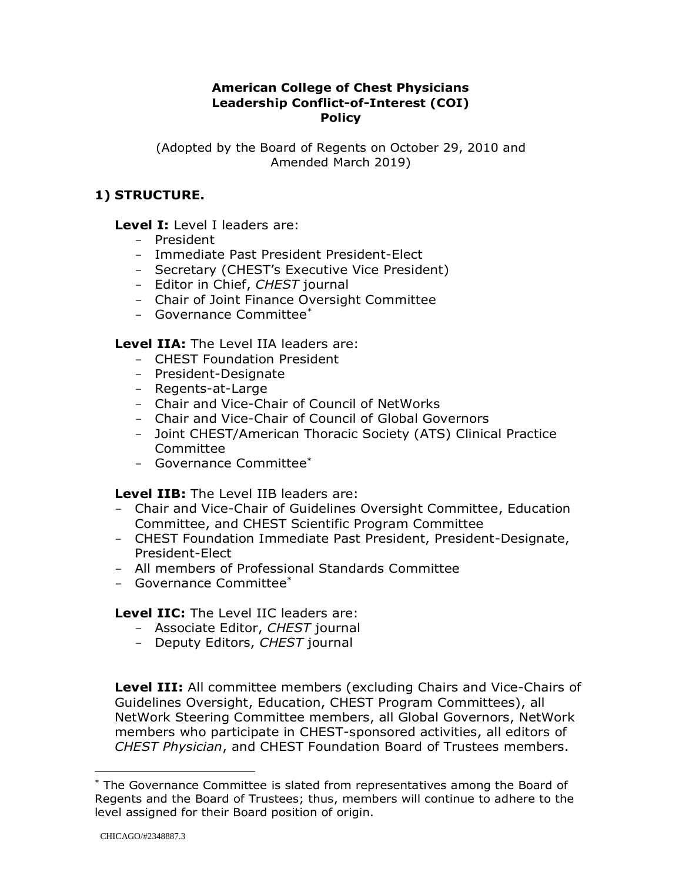### **American College of Chest Physicians Leadership Conflict-of-Interest (COI) Policy**

(Adopted by the Board of Regents on October 29, 2010 and Amended March 2019)

## **1) STRUCTURE.**

#### **Level I:** Level I leaders are:

- President
- Immediate Past President President-Elect
- Secretary (CHEST's Executive Vice President)
- Editor in Chief, *CHEST* journal
- Chair of Joint Finance Oversight Committee
- Governance Committee\*

**Level IIA:** The Level IIA leaders are:

- CHEST Foundation President
- President-Designate
- Regents-at-Large
- Chair and Vice-Chair of Council of NetWorks
- Chair and Vice-Chair of Council of Global Governors
- Joint CHEST/American Thoracic Society (ATS) Clinical Practice Committee
- Governance Committee\*

**Level IIB:** The Level IIB leaders are:

- Chair and Vice-Chair of Guidelines Oversight Committee, Education Committee, and CHEST Scientific Program Committee
- CHEST Foundation Immediate Past President, President-Designate, President-Elect
- All members of Professional Standards Committee
- Governance Committee\*

**Level IIC:** The Level IIC leaders are:

- Associate Editor, *CHEST* journal
- Deputy Editors, *CHEST* journal

**Level III:** All committee members (excluding Chairs and Vice-Chairs of Guidelines Oversight, Education, CHEST Program Committees), all NetWork Steering Committee members, all Global Governors, NetWork members who participate in CHEST-sponsored activities, all editors of *CHEST Physician*, and CHEST Foundation Board of Trustees members.

 $\overline{a}$ 

<sup>\*</sup> The Governance Committee is slated from representatives among the Board of Regents and the Board of Trustees; thus, members will continue to adhere to the level assigned for their Board position of origin.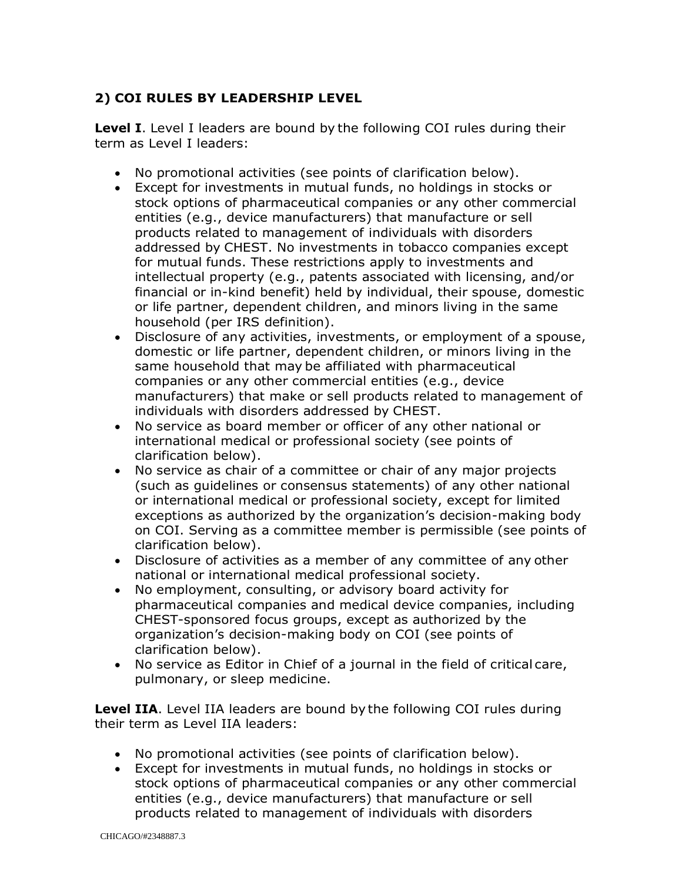# **2) COI RULES BY LEADERSHIP LEVEL**

**Level I**. Level I leaders are bound by the following COI rules during their term as Level I leaders:

- No promotional activities (see points of clarification below).
- Except for investments in mutual funds, no holdings in stocks or stock options of pharmaceutical companies or any other commercial entities (e.g., device manufacturers) that manufacture or sell products related to management of individuals with disorders addressed by CHEST. No investments in tobacco companies except for mutual funds. These restrictions apply to investments and intellectual property (e.g., patents associated with licensing, and/or financial or in-kind benefit) held by individual, their spouse, domestic or life partner, dependent children, and minors living in the same household (per IRS definition).
- Disclosure of any activities, investments, or employment of a spouse, domestic or life partner, dependent children, or minors living in the same household that may be affiliated with pharmaceutical companies or any other commercial entities (e.g., device manufacturers) that make or sell products related to management of individuals with disorders addressed by CHEST.
- No service as board member or officer of any other national or international medical or professional society (see points of clarification below).
- No service as chair of a committee or chair of any major projects (such as guidelines or consensus statements) of any other national or international medical or professional society, except for limited exceptions as authorized by the organization's decision-making body on COI. Serving as a committee member is permissible (see points of clarification below).
- Disclosure of activities as a member of any committee of any other national or international medical professional society.
- No employment, consulting, or advisory board activity for pharmaceutical companies and medical device companies, including CHEST-sponsored focus groups, except as authorized by the organization's decision-making body on COI (see points of clarification below).
- No service as Editor in Chief of a journal in the field of critical care, pulmonary, or sleep medicine.

**Level IIA**. Level IIA leaders are bound by the following COI rules during their term as Level IIA leaders:

- No promotional activities (see points of clarification below).
- Except for investments in mutual funds, no holdings in stocks or stock options of pharmaceutical companies or any other commercial entities (e.g., device manufacturers) that manufacture or sell products related to management of individuals with disorders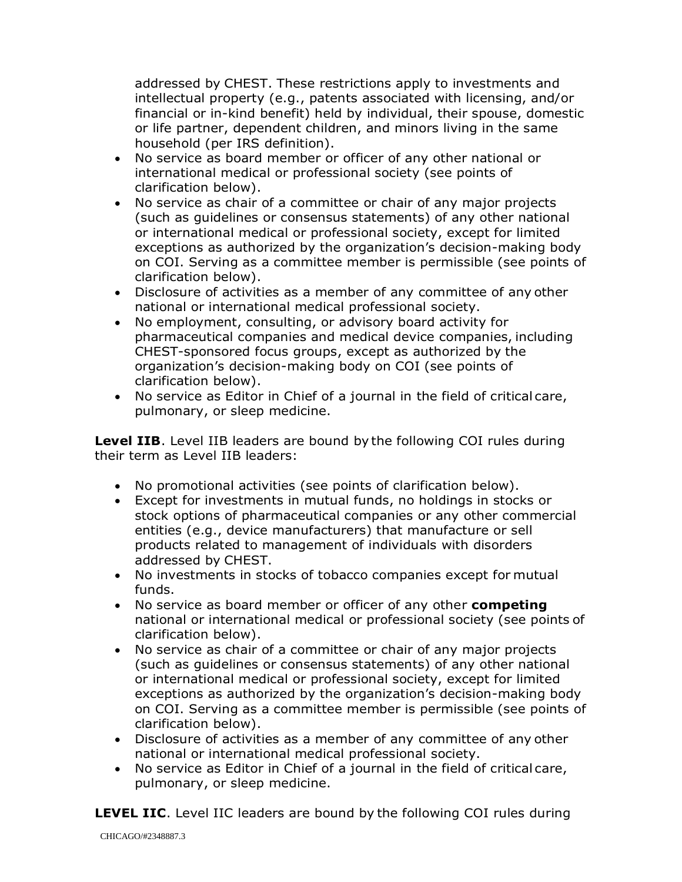addressed by CHEST. These restrictions apply to investments and intellectual property (e.g., patents associated with licensing, and/or financial or in-kind benefit) held by individual, their spouse, domestic or life partner, dependent children, and minors living in the same household (per IRS definition).

- No service as board member or officer of any other national or international medical or professional society (see points of clarification below).
- No service as chair of a committee or chair of any major projects (such as guidelines or consensus statements) of any other national or international medical or professional society, except for limited exceptions as authorized by the organization's decision-making body on COI. Serving as a committee member is permissible (see points of clarification below).
- Disclosure of activities as a member of any committee of any other national or international medical professional society.
- No employment, consulting, or advisory board activity for pharmaceutical companies and medical device companies, including CHEST-sponsored focus groups, except as authorized by the organization's decision-making body on COI (see points of clarification below).
- No service as Editor in Chief of a journal in the field of critical care, pulmonary, or sleep medicine.

**Level IIB.** Level IIB leaders are bound by the following COI rules during their term as Level IIB leaders:

- No promotional activities (see points of clarification below).
- Except for investments in mutual funds, no holdings in stocks or stock options of pharmaceutical companies or any other commercial entities (e.g., device manufacturers) that manufacture or sell products related to management of individuals with disorders addressed by CHEST.
- No investments in stocks of tobacco companies except for mutual funds.
- No service as board member or officer of any other **competing**  national or international medical or professional society (see points of clarification below).
- No service as chair of a committee or chair of any major projects (such as guidelines or consensus statements) of any other national or international medical or professional society, except for limited exceptions as authorized by the organization's decision-making body on COI. Serving as a committee member is permissible (see points of clarification below).
- Disclosure of activities as a member of any committee of any other national or international medical professional society.
- No service as Editor in Chief of a journal in the field of critical care, pulmonary, or sleep medicine.

**LEVEL IIC**. Level IIC leaders are bound by the following COI rules during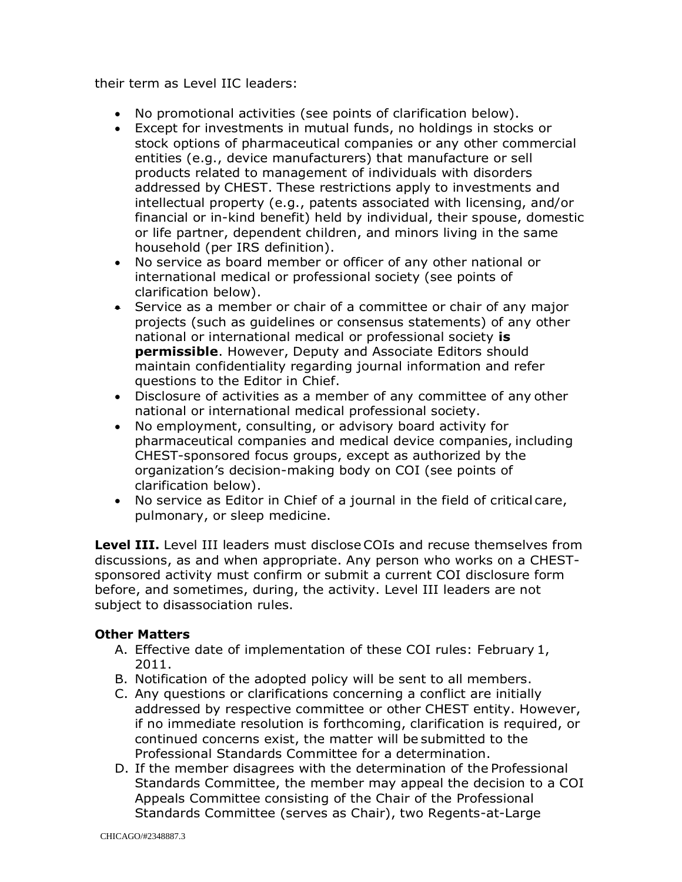their term as Level IIC leaders:

- No promotional activities (see points of clarification below).
- Except for investments in mutual funds, no holdings in stocks or stock options of pharmaceutical companies or any other commercial entities (e.g., device manufacturers) that manufacture or sell products related to management of individuals with disorders addressed by CHEST. These restrictions apply to investments and intellectual property (e.g., patents associated with licensing, and/or financial or in-kind benefit) held by individual, their spouse, domestic or life partner, dependent children, and minors living in the same household (per IRS definition).
- No service as board member or officer of any other national or international medical or professional society (see points of clarification below).
- Service as a member or chair of a committee or chair of any major projects (such as guidelines or consensus statements) of any other national or international medical or professional society **is permissible**. However, Deputy and Associate Editors should maintain confidentiality regarding journal information and refer questions to the Editor in Chief.
- Disclosure of activities as a member of any committee of any other national or international medical professional society.
- No employment, consulting, or advisory board activity for pharmaceutical companies and medical device companies, including CHEST-sponsored focus groups, except as authorized by the organization's decision-making body on COI (see points of clarification below).
- No service as Editor in Chief of a journal in the field of critical care, pulmonary, or sleep medicine.

**Level III.** Level III leaders must disclose COIs and recuse themselves from discussions, as and when appropriate. Any person who works on a CHESTsponsored activity must confirm or submit a current COI disclosure form before, and sometimes, during, the activity. Level III leaders are not subject to disassociation rules.

### **Other Matters**

- A. Effective date of implementation of these COI rules: February 1, 2011.
- B. Notification of the adopted policy will be sent to all members.
- C. Any questions or clarifications concerning a conflict are initially addressed by respective committee or other CHEST entity. However, if no immediate resolution is forthcoming, clarification is required, or continued concerns exist, the matter will be submitted to the Professional Standards Committee for a determination.
- D. If the member disagrees with the determination of the Professional Standards Committee, the member may appeal the decision to a COI Appeals Committee consisting of the Chair of the Professional Standards Committee (serves as Chair), two Regents-at-Large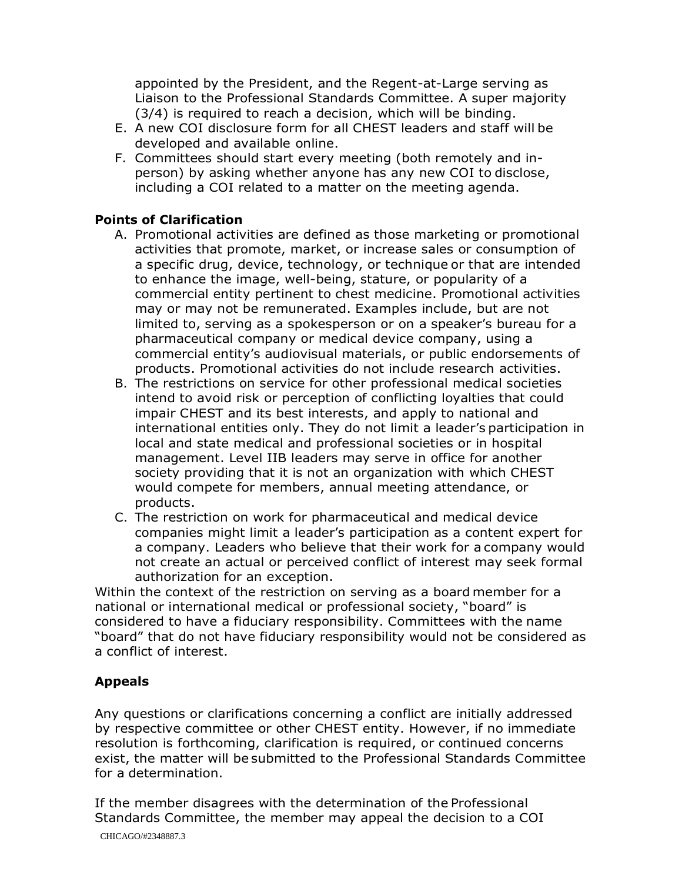appointed by the President, and the Regent-at-Large serving as Liaison to the Professional Standards Committee. A super majority (3/4) is required to reach a decision, which will be binding.

- E. A new COI disclosure form for all CHEST leaders and staff will be developed and available online.
- F. Committees should start every meeting (both remotely and inperson) by asking whether anyone has any new COI to disclose, including a COI related to a matter on the meeting agenda.

## **Points of Clarification**

- A. Promotional activities are defined as those marketing or promotional activities that promote, market, or increase sales or consumption of a specific drug, device, technology, or technique or that are intended to enhance the image, well-being, stature, or popularity of a commercial entity pertinent to chest medicine. Promotional activities may or may not be remunerated. Examples include, but are not limited to, serving as a spokesperson or on a speaker's bureau for a pharmaceutical company or medical device company, using a commercial entity's audiovisual materials, or public endorsements of products. Promotional activities do not include research activities.
- B. The restrictions on service for other professional medical societies intend to avoid risk or perception of conflicting loyalties that could impair CHEST and its best interests, and apply to national and international entities only. They do not limit a leader's participation in local and state medical and professional societies or in hospital management. Level IIB leaders may serve in office for another society providing that it is not an organization with which CHEST would compete for members, annual meeting attendance, or products.
- C. The restriction on work for pharmaceutical and medical device companies might limit a leader's participation as a content expert for a company. Leaders who believe that their work for a company would not create an actual or perceived conflict of interest may seek formal authorization for an exception.

Within the context of the restriction on serving as a board member for a national or international medical or professional society, "board" is considered to have a fiduciary responsibility. Committees with the name "board" that do not have fiduciary responsibility would not be considered as a conflict of interest.

## **Appeals**

Any questions or clarifications concerning a conflict are initially addressed by respective committee or other CHEST entity. However, if no immediate resolution is forthcoming, clarification is required, or continued concerns exist, the matter will be submitted to the Professional Standards Committee for a determination.

If the member disagrees with the determination of the Professional Standards Committee, the member may appeal the decision to a COI